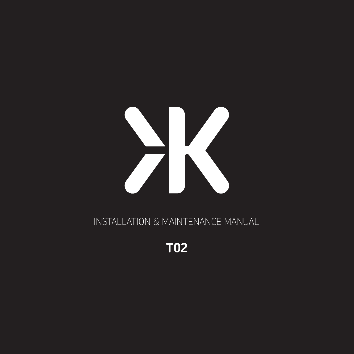

INSTALLATION & MAINTENANCE MANUAL

**T02**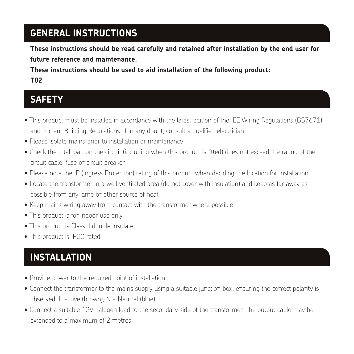## **GENERAL INSTRUCTIONS**

**These instructions should be read carefully and retained after installation by the end user for future reference and maintenance.**

**These instructions should be used to aid installation of the following product: T02**

#### **SAFETY**

- This product must be installed in accordance with the latest edition of the IEE Wiring Regulations (BS7671) and current Building Regulations. If in any doubt, consult a qualified electrician
- Please isolate mains prior to installation or maintenance
- Check the total load on the circuit (including when this product is fitted) does not exceed the rating of the circuit cable, fuse or circuit breaker
- Please note the IP (Ingress Protection) rating of this product when deciding the location for installation
- Locate the transformer in a well ventilated area (do not cover with insulation) and keep as far away as possible from any lamp or other source of heat
- Keep mains wiring away from contact with the transformer where possible
- This product is for indoor use only
- This product is Class II double insulated
- This product is IP20 rated

# **INSTALLATION**

- Provide power to the required point of installation
- Connect the transformer to the mains supply using a suitable junction box, ensuring the correct polarity is observed: L - Live (brown), N - Neutral (blue)
- Connect a suitable 12V halogen load to the secondary side of the transformer. The output cable may be extended to a maximum of 2 metres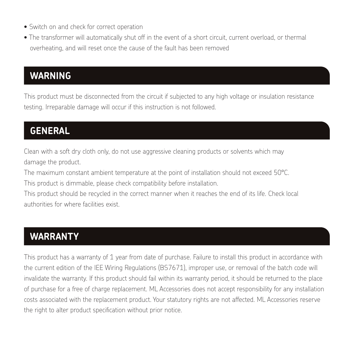- Switch on and check for correct operation
- The transformer will automatically shut off in the event of a short circuit, current overload, or thermal overheating, and will reset once the cause of the fault has been removed

### **WARNING**

This product must be disconnected from the circuit if subjected to any high voltage or insulation resistance testing. Irreparable damage will occur if this instruction is not followed.

### **GENERAL**

Clean with a soft dry cloth only, do not use aggressive cleaning products or solvents which may damage the product.

The maximum constant ambient temperature at the point of installation should not exceed 50°C.

This product is dimmable, please check compatibility before installation.

This product should be recycled in the correct manner when it reaches the end of its life. Check local authorities for where facilities exist.

#### **WARRANTY**

This product has a warranty of 1 year from date of purchase. Failure to install this product in accordance with the current edition of the IEE Wiring Regulations (BS7671), improper use, or removal of the batch code will invalidate the warranty. If this product should fail within its warranty period, it should be returned to the place of purchase for a free of charge replacement. ML Accessories does not accept responsibility for any installation costs associated with the replacement product. Your statutory rights are not affected. ML Accessories reserve the right to alter product specification without prior notice.